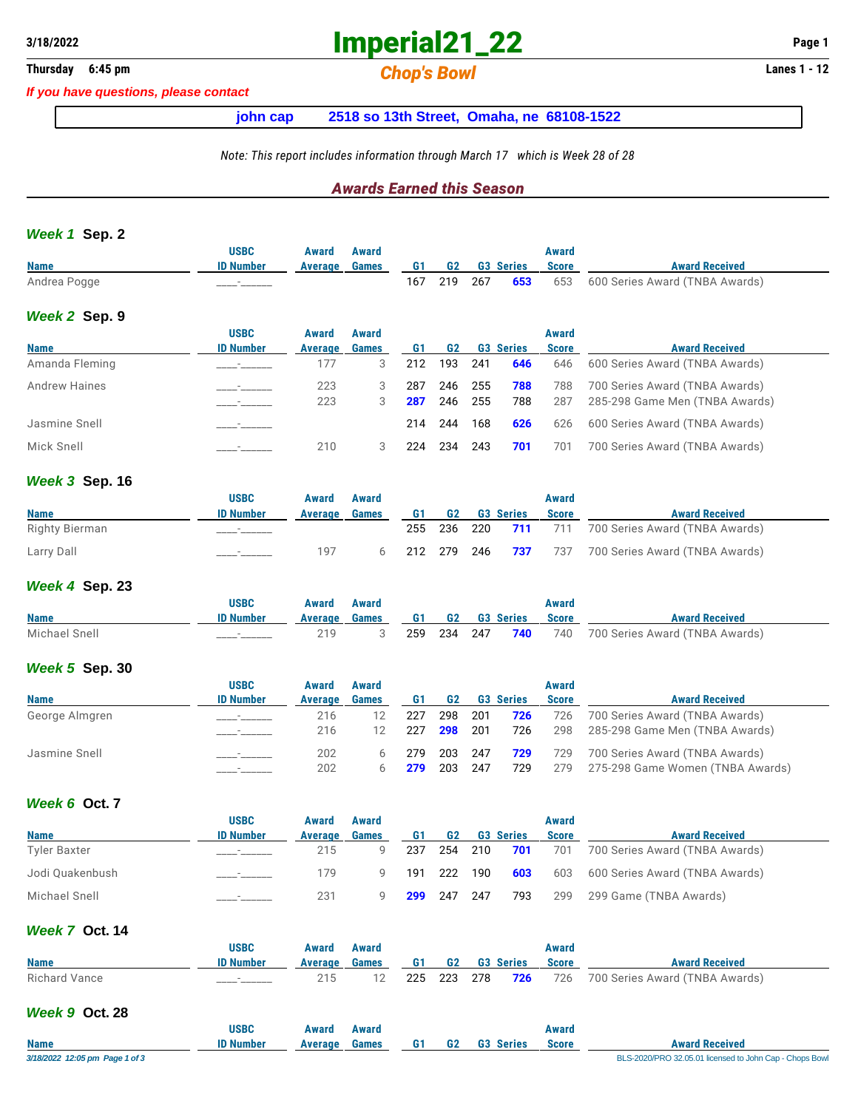## **3/18/2022 Imperial21\_22 Page 1**

### **Thursday 6:45 pm** *Chop's Bowl* **Lanes 1 - 12**

*If you have questions, please contact*

#### **john cap 2518 so 13th Street, Omaha, ne 68108-1522**

#### *Note: This report includes information through March 17 which is Week 28 of 28*

#### *Awards Earned this Season*

#### *Week 1* **Sep. 2**

| <b>Name</b>          | <b>USBC</b><br><b>ID Number</b> | Award<br>Average | Award<br><b>Games</b> | G1  | G <sub>2</sub> |     | <b>G3 Series</b> | <b>Award</b><br><b>Score</b> | <b>Award Received</b>          |
|----------------------|---------------------------------|------------------|-----------------------|-----|----------------|-----|------------------|------------------------------|--------------------------------|
| Andrea Pogge         |                                 |                  |                       | 167 | 219            | 267 | 653              | 653                          | 600 Series Award (TNBA Awards) |
| Week 2 Sep. 9        |                                 |                  |                       |     |                |     |                  |                              |                                |
|                      | <b>USBC</b>                     | Award            | Award                 |     |                |     |                  | Award                        |                                |
| <b>Name</b>          | <b>ID Number</b>                | Average          | <b>Games</b>          | G1  | G <sub>2</sub> |     | <b>G3 Series</b> | <b>Score</b>                 | <b>Award Received</b>          |
| Amanda Fleming       |                                 | 177              | 3                     | 212 | 193            | 241 | 646              | 646                          | 600 Series Award (TNBA Awards) |
| <b>Andrew Haines</b> |                                 | 223              | 3                     | 287 | 246            | 255 | 788              | 788                          | 700 Series Award (TNBA Awards) |
|                      |                                 | 223              | 3                     | 287 | 246            | 255 | 788              | 287                          | 285-298 Game Men (TNBA Awards) |
| Jasmine Snell        |                                 |                  |                       | 214 | 244            | 168 | 626              | 626                          | 600 Series Award (TNBA Awards) |
| Mick Snell           |                                 | 210              | 3                     | 224 | 234            | 243 | 701              | 701                          | 700 Series Award (TNBA Awards) |

#### *Week 3* **Sep. 16**

|                | <b>USBC</b>      | Award   | <b>Award</b> |    |  |                            | Award        |                                                    |
|----------------|------------------|---------|--------------|----|--|----------------------------|--------------|----------------------------------------------------|
| <b>Name</b>    | <b>ID Number</b> | Average | Games        | G1 |  | <b>G2</b> G3 Series        | <b>Score</b> | <b>Award Received</b>                              |
| Righty Bierman |                  |         |              |    |  | 255 236 220 <b>711</b> 711 |              | 700 Series Award (TNBA Awards)                     |
| Larry Dall     |                  | 197     |              |    |  |                            |              | 212 279 246 737 737 700 Series Award (TNBA Awards) |

#### *Week 4* **Sep. 23**

|               | <b>USBC</b>      | Award | Award                         |  |                        | Award |                                |
|---------------|------------------|-------|-------------------------------|--|------------------------|-------|--------------------------------|
| <b>Name</b>   | <b>ID Number</b> |       | Average Games G1 G2 G3 Series |  |                        | Score | <b>Award Received</b>          |
| Michael Snell |                  | 219   |                               |  | 259 234 247 <b>740</b> | 740   | 700 Series Award (TNBA Awards) |

#### *Week 5* **Sep. 30**

|                | <b>USBC</b>              | Award   | Award        |     |                |      |                  | Award        |                                  |
|----------------|--------------------------|---------|--------------|-----|----------------|------|------------------|--------------|----------------------------------|
| <b>Name</b>    | <b>ID Number</b>         | Average | <b>Games</b> | G1  | G <sub>2</sub> |      | <b>G3 Series</b> | <b>Score</b> | <b>Award Received</b>            |
| George Almgren |                          | 216     |              | 227 | 298            | 201  | 726              | 726          | 700 Series Award (TNBA Awards)   |
|                |                          | 216     |              | 227 | 298            | -201 | 726              | 298          | 285-298 Game Men (TNBA Awards)   |
| Jasmine Snell  | $\overline{\phantom{a}}$ | 202     |              | 279 | 203            | 247  | 729              | 729          | 700 Series Award (TNBA Awards)   |
|                |                          | 202     |              | 279 | 203            | 247  | 729              | 279          | 275-298 Game Women (TNBA Awards) |

#### *Week 6* **Oct. 7**

|                     | <b>USBC</b>              | Award   | Award        |     |                |         |                  | Award        |                                |
|---------------------|--------------------------|---------|--------------|-----|----------------|---------|------------------|--------------|--------------------------------|
| <b>Name</b>         | <b>ID Number</b>         | Average | <b>Games</b> | G1  | G <sub>2</sub> |         | <b>G3 Series</b> | <b>Score</b> | <b>Award Received</b>          |
| <b>Tyler Baxter</b> | $\overline{\phantom{a}}$ | 215     |              | 237 |                | 254 210 | 701              | 701          | 700 Series Award (TNBA Awards) |
| Jodi Ouakenbush     |                          | 179     | Q            | 191 |                | 222 190 | 603              | 603          | 600 Series Award (TNBA Awards) |
| Michael Snell       |                          | 231     |              | 299 | 247            | 247     | 793              | 299          | 299 Game (TNBA Awards)         |

#### *Week 7* **Oct. 14**

|               | USBC             | Award                         | Award |  |  | Award        |                                                    |
|---------------|------------------|-------------------------------|-------|--|--|--------------|----------------------------------------------------|
| <b>Name</b>   | <b>ID Number</b> | Average Games 61 G2 G3 Series |       |  |  | <b>Score</b> | <b>Award Received</b>                              |
| Richard Vance |                  |                               |       |  |  |              | 225 223 278 726 726 700 Series Award (TNBA Awards) |

#### *Week 9* **Oct. 28**

|                                | USBC             | Award   | Award |    |    |                  | Award        |                                                         |
|--------------------------------|------------------|---------|-------|----|----|------------------|--------------|---------------------------------------------------------|
| <b>Name</b>                    | <b>ID Number</b> | Average | Games | G1 | G2 | <b>G3 Series</b> | <b>Score</b> | <b>Award Received</b>                                   |
| 3/18/2022 12:05 pm Page 1 of 3 |                  |         |       |    |    |                  |              | BLS-2020/PRO 32.05.01 licensed to John Cap - Chops Bowl |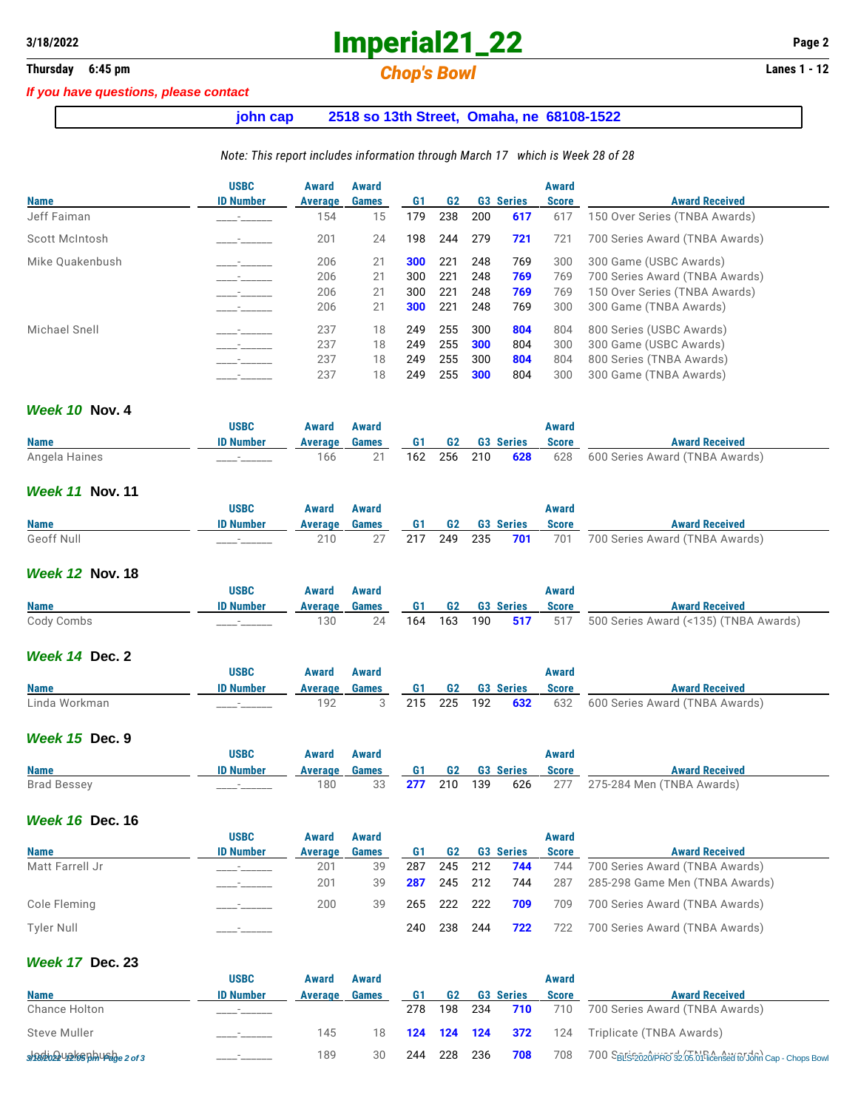# **3/18/2022 Imperial21\_22 Page 2**

## **Thursday** 6:45 pm **Chop's Bowl Chop's Bowl Lanes 1 - 12**

#### *If you have questions, please contact*

### **john cap 2518 so 13th Street, Omaha, ne 68108-1522**

#### *Note: This report includes information through March 17 which is Week 28 of 28*

|                 | <b>USBC</b>      | Award   | Award        |     |                |     |                  | Award        |                                |
|-----------------|------------------|---------|--------------|-----|----------------|-----|------------------|--------------|--------------------------------|
| <b>Name</b>     | <b>ID Number</b> | Average | <b>Games</b> | G1  | G <sub>2</sub> |     | <b>G3 Series</b> | <b>Score</b> | <b>Award Received</b>          |
| Jeff Faiman     |                  | 154     | 15           | 179 | 238            | 200 | 617              | 617          | 150 Over Series (TNBA Awards)  |
| Scott McIntosh  |                  | 201     | 24           | 198 | 244            | 279 | 721              | 721          | 700 Series Award (TNBA Awards) |
| Mike Quakenbush |                  | 206     | 21           | 300 | 221            | 248 | 769              | 300          | 300 Game (USBC Awards)         |
|                 |                  | 206     | 21           | 300 | 221            | 248 | 769              | 769          | 700 Series Award (TNBA Awards) |
|                 |                  | 206     | 21           | 300 | 221            | 248 | 769              | 769          | 150 Over Series (TNBA Awards)  |
|                 |                  | 206     | 21           | 300 | 221            | 248 | 769              | 300          | 300 Game (TNBA Awards)         |
| Michael Snell   |                  | 237     | 18           | 249 | 255            | 300 | 804              | 804          | 800 Series (USBC Awards)       |
|                 |                  | 237     | 18           | 249 | 255            | 300 | 804              | 300          | 300 Game (USBC Awards)         |
|                 |                  | 237     | 18           | 249 | 255            | 300 | 804              | 804          | 800 Series (TNBA Awards)       |
|                 |                  | 237     | 18           | 249 | 255            | 300 | 804              | 300          | 300 Game (TNBA Awards)         |

#### *Week 10* **Nov. 4**

|               | <b>USBC</b>      | Award         | Award |                 |  | Award |                                                    |
|---------------|------------------|---------------|-------|-----------------|--|-------|----------------------------------------------------|
| <b>Name</b>   | <b>ID Number</b> | Average Games |       | G1 G2 G3 Series |  | Score | <b>Award Received</b>                              |
| Angela Haines |                  | 166           |       |                 |  |       | 162 256 210 628 628 600 Series Award (TNBA Awards) |

#### *Week 11* **Nov. 11**

|             | <b>USBC</b>      | Award                         | Award |  |  | Award |                                                    |
|-------------|------------------|-------------------------------|-------|--|--|-------|----------------------------------------------------|
| <b>Name</b> | <b>ID Number</b> | Average Games 61 G2 G3 Series |       |  |  | Score | <b>Award Received</b>                              |
| Geoff Null  |                  |                               |       |  |  |       | 217 249 235 701 701 700 Series Award (TNBA Awards) |

#### *Week 12* **Nov. 18**

|             | <b>USBC</b>      | Award                         | Award |  |  | Award        |                                                           |
|-------------|------------------|-------------------------------|-------|--|--|--------------|-----------------------------------------------------------|
| <b>Name</b> | <b>ID Number</b> | Average Games 61 G2 G3 Series |       |  |  | <b>Score</b> | <b>Award Received</b>                                     |
| Cody Combs  |                  | 130                           | 24    |  |  |              | 164 163 190 517 517 500 Series Award (<135) (TNBA Awards) |

#### *Week 14* **Dec. 2**

|               | USBC             | Award   | Award |           |           |                  | Award        |                                |
|---------------|------------------|---------|-------|-----------|-----------|------------------|--------------|--------------------------------|
| <b>Name</b>   | <b>ID Number</b> | Average | Games | <b>G1</b> | <b>G2</b> | <b>G3 Series</b> | <b>Score</b> | <b>Award Received</b>          |
| Linda Workman |                  | 192     |       | 215       | 225 192   | 632              | 632          | 600 Series Award (TNBA Awards) |

#### *Week 15* **Dec. 9**

|                    | USBC             | Award   | Award |                 |  | Award        |                                                      |
|--------------------|------------------|---------|-------|-----------------|--|--------------|------------------------------------------------------|
| <b>Name</b>        | <b>ID Number</b> | Average | Games | G1 G2 G3 Series |  | <b>Score</b> | <b>Award Received</b>                                |
| <b>Brad Bessey</b> | _______          | 180     | 33    |                 |  |              | <b>277</b> 210 139 626 277 275-284 Men (TNBA Awards) |

#### *Week 16* **Dec. 16**

|                   | <b>USBC</b>              | Award   | Award        |     |         |         |                  | <b>Award</b> |                                |
|-------------------|--------------------------|---------|--------------|-----|---------|---------|------------------|--------------|--------------------------------|
| <b>Name</b>       | <b>ID Number</b>         | Average | <b>Games</b> | G1  | G2      |         | <b>G3 Series</b> | <b>Score</b> | <b>Award Received</b>          |
| Matt Farrell Jr   |                          | 201     | 39           | 287 |         | 245 212 | 744              | 744          | 700 Series Award (TNBA Awards) |
|                   | $\sim$ $  -$             | 201     | 39           | 287 |         | 245 212 | 744              | 287          | 285-298 Game Men (TNBA Awards) |
| Cole Fleming      | $\overline{\phantom{a}}$ | 200     | 39           | 265 | 222 222 |         | 709              | 709          | 700 Series Award (TNBA Awards) |
| <b>Tyler Null</b> |                          |         |              | 240 | 238     | 244     | 722              | 722          | 700 Series Award (TNBA Awards) |

#### *Week 17* **Dec. 23**

|                                     | <b>USBC</b>      | Award   | Award        |             |     |       |                  | Award        |                                                               |
|-------------------------------------|------------------|---------|--------------|-------------|-----|-------|------------------|--------------|---------------------------------------------------------------|
| <b>Name</b>                         | <b>ID Number</b> | Average | <b>Games</b> | G1          | G2  |       | <b>G3 Series</b> | <b>Score</b> | <b>Award Received</b>                                         |
| <b>Chance Holton</b>                |                  |         |              | 278         | 198 | - 234 | 710              | 710          | 700 Series Award (TNBA Awards)                                |
| Steve Muller                        |                  | 145     | 18           | 124 124 124 |     |       | 372              | 124          | Triplicate (TNBA Awards)                                      |
| $9982022$ Up $869$ phusd $9e2$ of 3 |                  | 189     | 30           | 244         | 228 | 236   | 708              | 708          | 700 SBLS:2020/PRO 32.05.01 licensed fol John Cap - Chops Bowl |